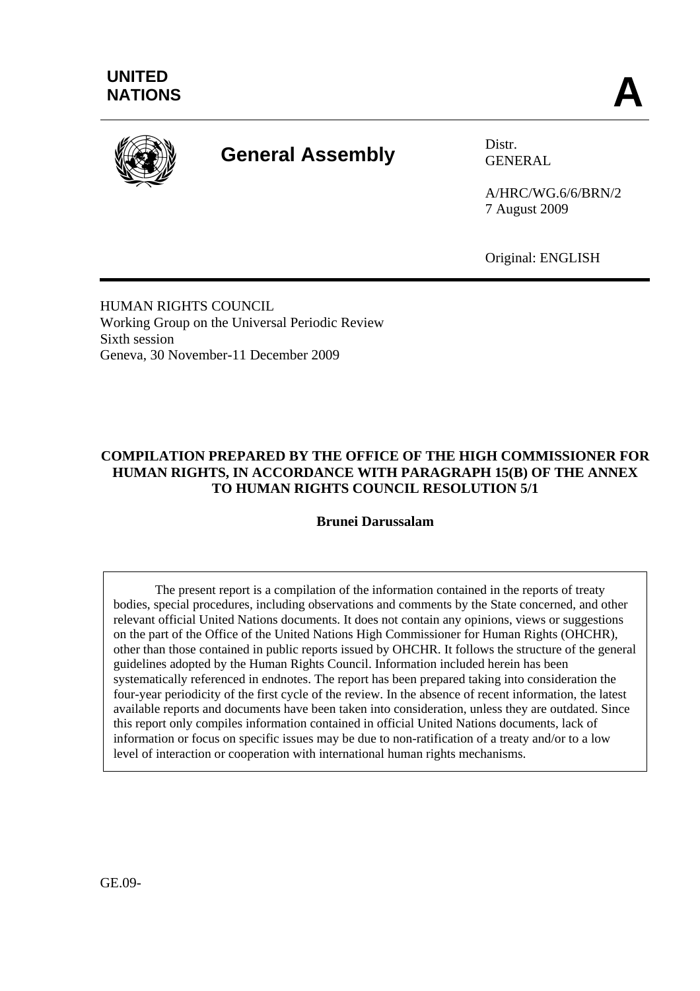

# **General Assembly** Distr.

GENERAL

A/HRC/WG.6/6/BRN/2 7 August 2009

Original: ENGLISH

HUMAN RIGHTS COUNCIL Working Group on the Universal Periodic Review Sixth session Geneva, 30 November-11 December 2009

# **COMPILATION PREPARED BY THE OFFICE OF THE HIGH COMMISSIONER FOR HUMAN RIGHTS, IN ACCORDANCE WITH PARAGRAPH 15(B) OF THE ANNEX TO HUMAN RIGHTS COUNCIL RESOLUTION 5/1**

**Brunei Darussalam** 

 The present report is a compilation of the information contained in the reports of treaty bodies, special procedures, including observations and comments by the State concerned, and other relevant official United Nations documents. It does not contain any opinions, views or suggestions on the part of the Office of the United Nations High Commissioner for Human Rights (OHCHR), other than those contained in public reports issued by OHCHR. It follows the structure of the general guidelines adopted by the Human Rights Council. Information included herein has been systematically referenced in endnotes. The report has been prepared taking into consideration the four-year periodicity of the first cycle of the review. In the absence of recent information, the latest available reports and documents have been taken into consideration, unless they are outdated. Since this report only compiles information contained in official United Nations documents, lack of information or focus on specific issues may be due to non-ratification of a treaty and/or to a low level of interaction or cooperation with international human rights mechanisms.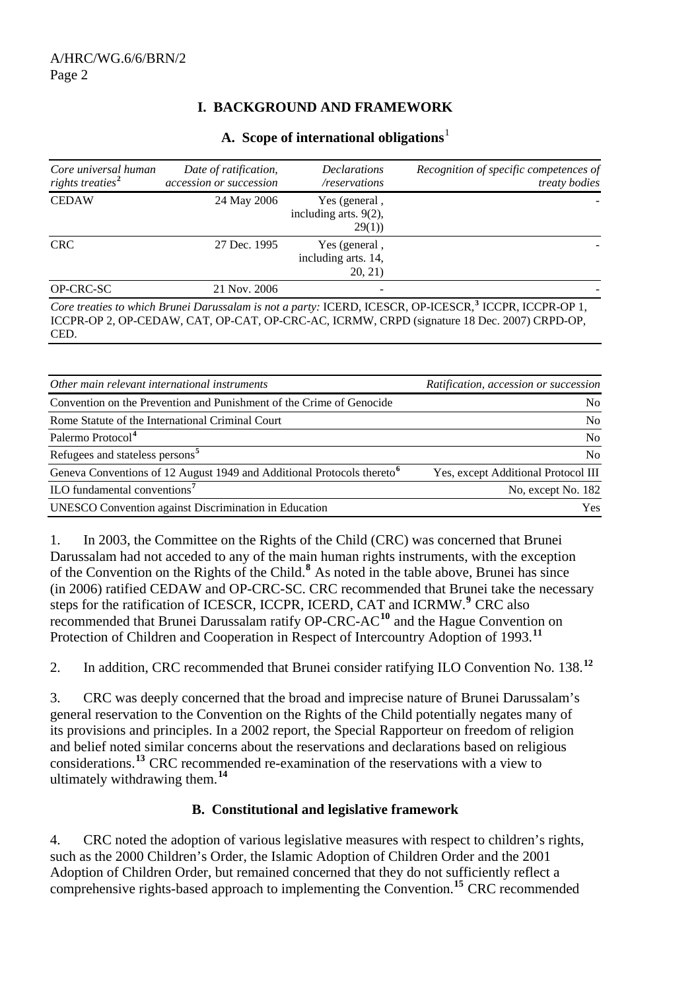## **I. BACKGROUND AND FRAMEWORK**

| Core universal human<br>rights treaties <sup>2</sup> | Date of ratification,<br>accession or succession | <b>Declarations</b><br>/reservations               | Recognition of specific competences of<br>treaty bodies                                                                                                                                                           |
|------------------------------------------------------|--------------------------------------------------|----------------------------------------------------|-------------------------------------------------------------------------------------------------------------------------------------------------------------------------------------------------------------------|
| <b>CEDAW</b>                                         | 24 May 2006                                      | Yes (general,<br>including arts. $9(2)$ ,<br>29(1) |                                                                                                                                                                                                                   |
| <b>CRC</b>                                           | 27 Dec. 1995                                     | Yes (general,<br>including arts. 14,<br>20, 21)    |                                                                                                                                                                                                                   |
| OP-CRC-SC                                            | 21 Nov. 2006                                     |                                                    |                                                                                                                                                                                                                   |
| CED.                                                 |                                                  |                                                    | Core treaties to which Brunei Darussalam is not a party: ICERD, ICESCR, OP-ICESCR, <sup>3</sup> ICCPR, ICCPR-OP 1,<br>ICCPR-OP 2, OP-CEDAW, CAT, OP-CAT, OP-CRC-AC, ICRMW, CRPD (signature 18 Dec. 2007) CRPD-OP, |

#### **A. Scope of international obligations**[1](#page-11-0)

*Other main relevant international instruments* and *Ratification, accession or succession Company Ratification, accession or succession* Convention on the Prevention and Punishment of the Crime of Genocide No Rome Statute of the International Criminal Court No Palermo Protocol<sup>[4](#page-11-1)</sup> No Refugees and stateless persons<sup>[5](#page-11-1)</sup> No Geneva Conventions of 12 August 1949 and Additional Protocols thereto<sup>[6](#page-11-1)</sup> Yes, except Additional Protocol III ILO fundamental conventions<sup>[7](#page-11-1)</sup> No, except No. 182 UNESCO Convention against Discrimination in Education Yes

1. In 2003, the Committee on the Rights of the Child (CRC) was concerned that Brunei Darussalam had not acceded to any of the main human rights instruments, with the exception of the Convention on the Rights of the Child.<sup>[8](#page-11-1)</sup> As noted in the table above, Brunei has since (in 2006) ratified CEDAW and OP-CRC-SC. CRC recommended that Brunei take the necessary steps for the ratification of ICESCR, ICCPR, ICERD, CAT and ICRMW.**[9](#page-11-1)** CRC also recommended that Brunei Darussalam ratify OP-CRC-AC**[10](#page-11-1)** and the Hague Convention on Protection of Children and Cooperation in Respect of Intercountry Adoption of 1993.**[11](#page-11-1)**

2. In addition, CRC recommended that Brunei consider ratifying ILO Convention No. 138.**[12](#page-11-1)**

3. CRC was deeply concerned that the broad and imprecise nature of Brunei Darussalam's general reservation to the Convention on the Rights of the Child potentially negates many of its provisions and principles. In a 2002 report, the Special Rapporteur on freedom of religion and belief noted similar concerns about the reservations and declarations based on religious considerations.**[13](#page-11-1)** CRC recommended re-examination of the reservations with a view to ultimately withdrawing them.**[14](#page-11-1)**

#### **B. Constitutional and legislative framework**

4. CRC noted the adoption of various legislative measures with respect to children's rights, such as the 2000 Children's Order, the Islamic Adoption of Children Order and the 2001 Adoption of Children Order, but remained concerned that they do not sufficiently reflect a comprehensive rights-based approach to implementing the Convention.**[15](#page-11-1)** CRC recommended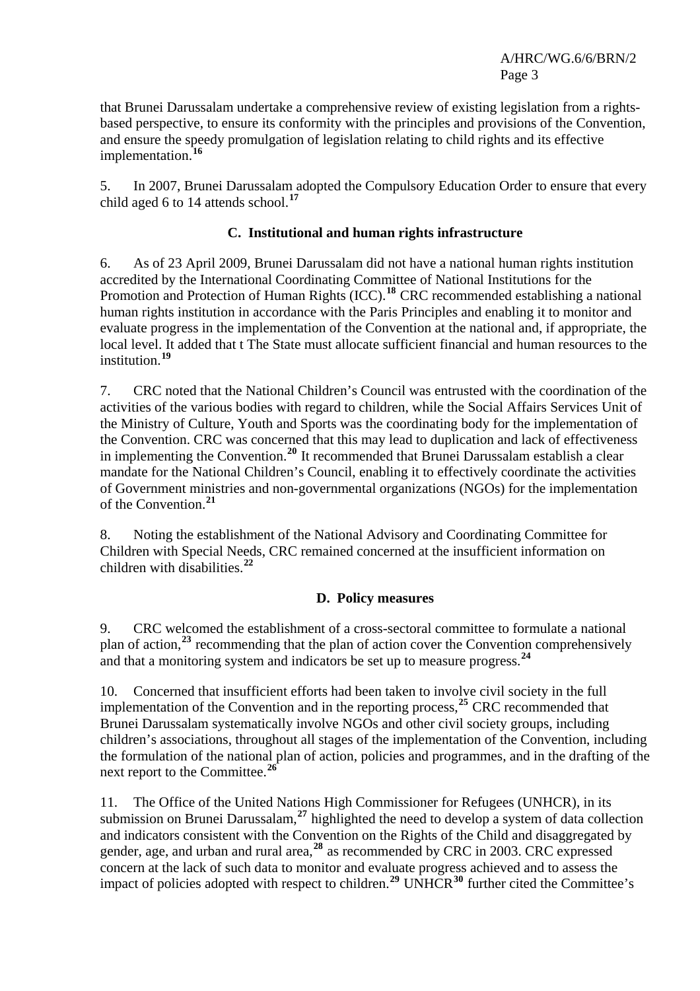that Brunei Darussalam undertake a comprehensive review of existing legislation from a rightsbased perspective, to ensure its conformity with the principles and provisions of the Convention, and ensure the speedy promulgation of legislation relating to child rights and its effective implementation.**[16](#page-11-1)**

5. In 2007, Brunei Darussalam adopted the Compulsory Education Order to ensure that every child aged 6 to 14 attends school.**[17](#page-11-1)**

#### **C. Institutional and human rights infrastructure**

6. As of 23 April 2009, Brunei Darussalam did not have a national human rights institution accredited by the International Coordinating Committee of National Institutions for the Promotion and Protection of Human Rights (ICC).<sup>[18](#page-11-1)</sup> CRC recommended establishing a national human rights institution in accordance with the Paris Principles and enabling it to monitor and evaluate progress in the implementation of the Convention at the national and, if appropriate, the local level. It added that t The State must allocate sufficient financial and human resources to the institution.**[19](#page-11-1)**

7. CRC noted that the National Children's Council was entrusted with the coordination of the activities of the various bodies with regard to children, while the Social Affairs Services Unit of the Ministry of Culture, Youth and Sports was the coordinating body for the implementation of the Convention. CRC was concerned that this may lead to duplication and lack of effectiveness in implementing the Convention.**[20](#page-11-1)** It recommended that Brunei Darussalam establish a clear mandate for the National Children's Council, enabling it to effectively coordinate the activities of Government ministries and non-governmental organizations (NGOs) for the implementation of the Convention.**[21](#page-11-1)**

8. Noting the establishment of the National Advisory and Coordinating Committee for Children with Special Needs, CRC remained concerned at the insufficient information on children with disabilities.**[22](#page-11-1)**

#### **D. Policy measures**

9. CRC welcomed the establishment of a cross-sectoral committee to formulate a national plan of action,**[23](#page-11-1)** recommending that the plan of action cover the Convention comprehensively and that a monitoring system and indicators be set up to measure progress.**[24](#page-11-1)**

10. Concerned that insufficient efforts had been taken to involve civil society in the full implementation of the Convention and in the reporting process,**[25](#page-11-1)** CRC recommended that Brunei Darussalam systematically involve NGOs and other civil society groups, including children's associations, throughout all stages of the implementation of the Convention, including the formulation of the national plan of action, policies and programmes, and in the drafting of the next report to the Committee.**[26](#page-11-1)**

11. The Office of the United Nations High Commissioner for Refugees (UNHCR), in its submission on Brunei Darussalam,**[27](#page-11-1)** highlighted the need to develop a system of data collection and indicators consistent with the Convention on the Rights of the Child and disaggregated by gender, age, and urban and rural area,**[28](#page-11-1)** as recommended by CRC in 2003. CRC expressed concern at the lack of such data to monitor and evaluate progress achieved and to assess the impact of policies adopted with respect to children.**[29](#page-11-1)** UNHCR**[30](#page-11-1)** further cited the Committee's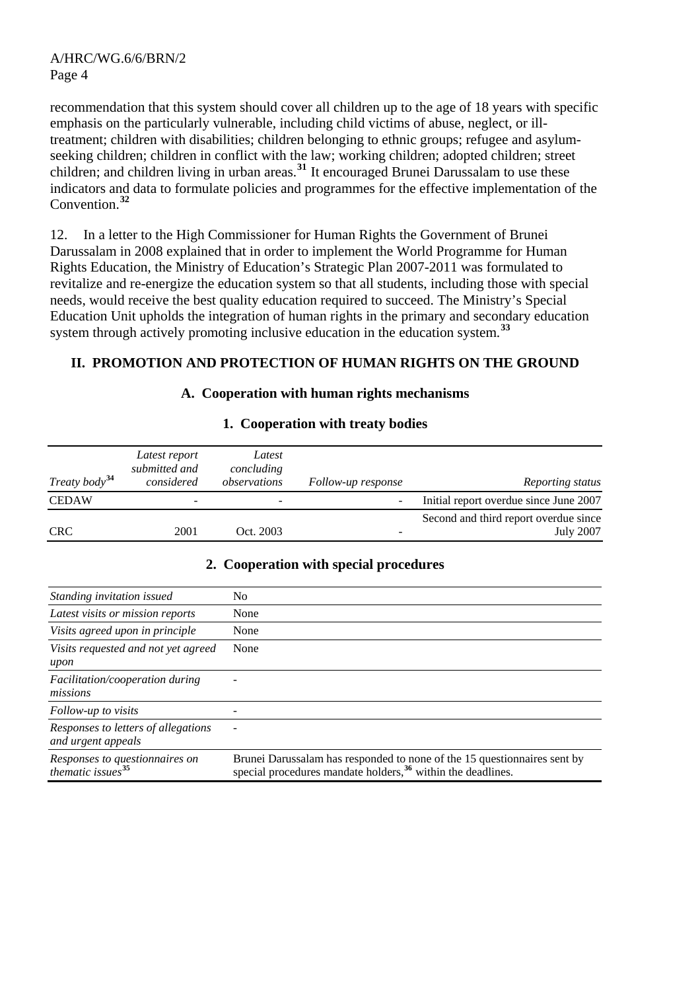recommendation that this system should cover all children up to the age of 18 years with specific emphasis on the particularly vulnerable, including child victims of abuse, neglect, or illtreatment; children with disabilities; children belonging to ethnic groups; refugee and asylumseeking children; children in conflict with the law; working children; adopted children; street children; and children living in urban areas.**[31](#page-11-1)** It encouraged Brunei Darussalam to use these indicators and data to formulate policies and programmes for the effective implementation of the Convention.**[32](#page-11-1)**

12. In a letter to the High Commissioner for Human Rights the Government of Brunei Darussalam in 2008 explained that in order to implement the World Programme for Human Rights Education, the Ministry of Education's Strategic Plan 2007-2011 was formulated to revitalize and re-energize the education system so that all students, including those with special needs, would receive the best quality education required to succeed. The Ministry's Special Education Unit upholds the integration of human rights in the primary and secondary education system through actively promoting inclusive education in the education system.**[33](#page-11-1)**

#### **II. PROMOTION AND PROTECTION OF HUMAN RIGHTS ON THE GROUND**

#### **A. Cooperation with human rights mechanisms**

| Treaty body <sup>34</sup> | Latest report<br>submitted and<br>considered | Latest<br>concluding<br>observations | Follow-up response | Reporting status                                          |
|---------------------------|----------------------------------------------|--------------------------------------|--------------------|-----------------------------------------------------------|
| <b>CEDAW</b>              |                                              | -                                    | -                  | Initial report overdue since June 2007                    |
| <b>CRC</b>                | 2001                                         | Oct. 2003                            |                    | Second and third report overdue since<br><b>July 2007</b> |

#### **1. Cooperation with treaty bodies**

#### **2. Cooperation with special procedures**

| Standing invitation issued                                      | No                                                                                                                                                   |
|-----------------------------------------------------------------|------------------------------------------------------------------------------------------------------------------------------------------------------|
| Latest visits or mission reports                                | None                                                                                                                                                 |
| Visits agreed upon in principle                                 | None                                                                                                                                                 |
| Visits requested and not yet agreed<br>upon                     | None                                                                                                                                                 |
| <i>Facilitation/cooperation during</i><br>missions              |                                                                                                                                                      |
| Follow-up to visits                                             |                                                                                                                                                      |
| Responses to letters of allegations<br>and urgent appeals       |                                                                                                                                                      |
| Responses to questionnaires on<br>thematic issues <sup>35</sup> | Brunei Darussalam has responded to none of the 15 question naires sent by<br>special procedures mandate holders, <sup>36</sup> within the deadlines. |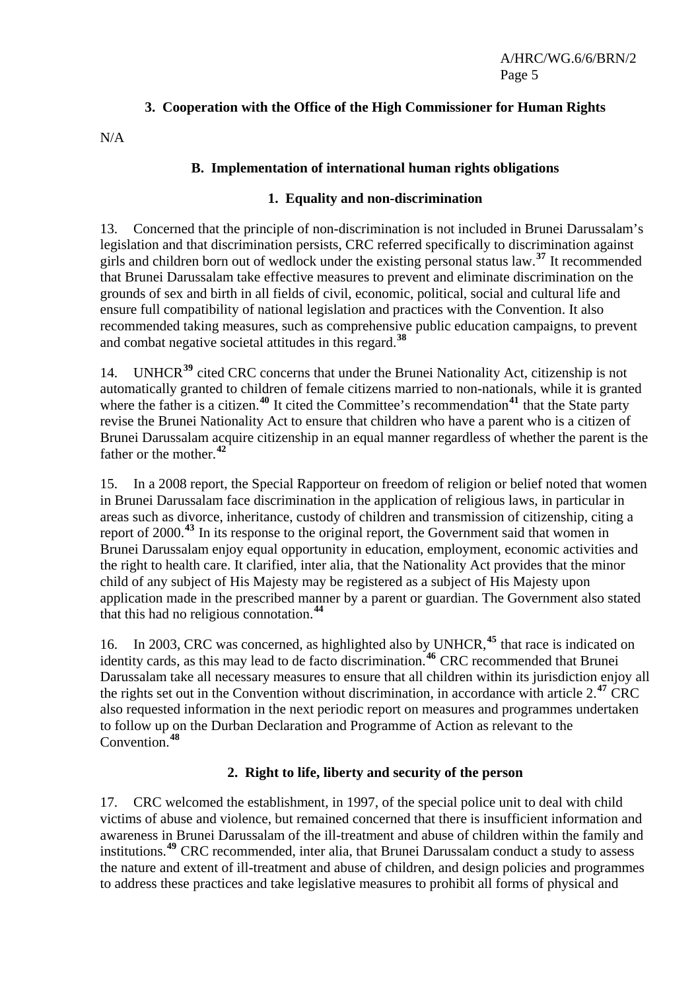# **3. Cooperation with the Office of the High Commissioner for Human Rights**

N/A

### **B. Implementation of international human rights obligations**

#### **1. Equality and non-discrimination**

13. Concerned that the principle of non-discrimination is not included in Brunei Darussalam's legislation and that discrimination persists, CRC referred specifically to discrimination against girls and children born out of wedlock under the existing personal status law.**[37](#page-11-1)** It recommended that Brunei Darussalam take effective measures to prevent and eliminate discrimination on the grounds of sex and birth in all fields of civil, economic, political, social and cultural life and ensure full compatibility of national legislation and practices with the Convention. It also recommended taking measures, such as comprehensive public education campaigns, to prevent and combat negative societal attitudes in this regard.**[38](#page-11-1)**

14. UNHCR**[39](#page-11-1)** cited CRC concerns that under the Brunei Nationality Act, citizenship is not automatically granted to children of female citizens married to non-nationals, while it is granted where the father is a citizen.<sup>[40](#page-11-1)</sup> It cited the Committee's recommendation<sup>[41](#page-11-1)</sup> that the State party revise the Brunei Nationality Act to ensure that children who have a parent who is a citizen of Brunei Darussalam acquire citizenship in an equal manner regardless of whether the parent is the father or the mother.**[42](#page-11-1)**

15. In a 2008 report, the Special Rapporteur on freedom of religion or belief noted that women in Brunei Darussalam face discrimination in the application of religious laws, in particular in areas such as divorce, inheritance, custody of children and transmission of citizenship, citing a report of 2000.**[43](#page-11-1)** In its response to the original report, the Government said that women in Brunei Darussalam enjoy equal opportunity in education, employment, economic activities and the right to health care. It clarified, inter alia, that the Nationality Act provides that the minor child of any subject of His Majesty may be registered as a subject of His Majesty upon application made in the prescribed manner by a parent or guardian. The Government also stated that this had no religious connotation.**[44](#page-11-1)**

16. In 2003, CRC was concerned, as highlighted also by UNHCR,**[45](#page-11-1)** that race is indicated on identity cards, as this may lead to de facto discrimination.**[46](#page-11-1)** CRC recommended that Brunei Darussalam take all necessary measures to ensure that all children within its jurisdiction enjoy all the rights set out in the Convention without discrimination, in accordance with article 2.**[47](#page-11-1)** CRC also requested information in the next periodic report on measures and programmes undertaken to follow up on the Durban Declaration and Programme of Action as relevant to the Convention.**[48](#page-11-1)**

# **2. Right to life, liberty and security of the person**

17. CRC welcomed the establishment, in 1997, of the special police unit to deal with child victims of abuse and violence, but remained concerned that there is insufficient information and awareness in Brunei Darussalam of the ill-treatment and abuse of children within the family and institutions.**[49](#page-11-1)** CRC recommended, inter alia, that Brunei Darussalam conduct a study to assess the nature and extent of ill-treatment and abuse of children, and design policies and programmes to address these practices and take legislative measures to prohibit all forms of physical and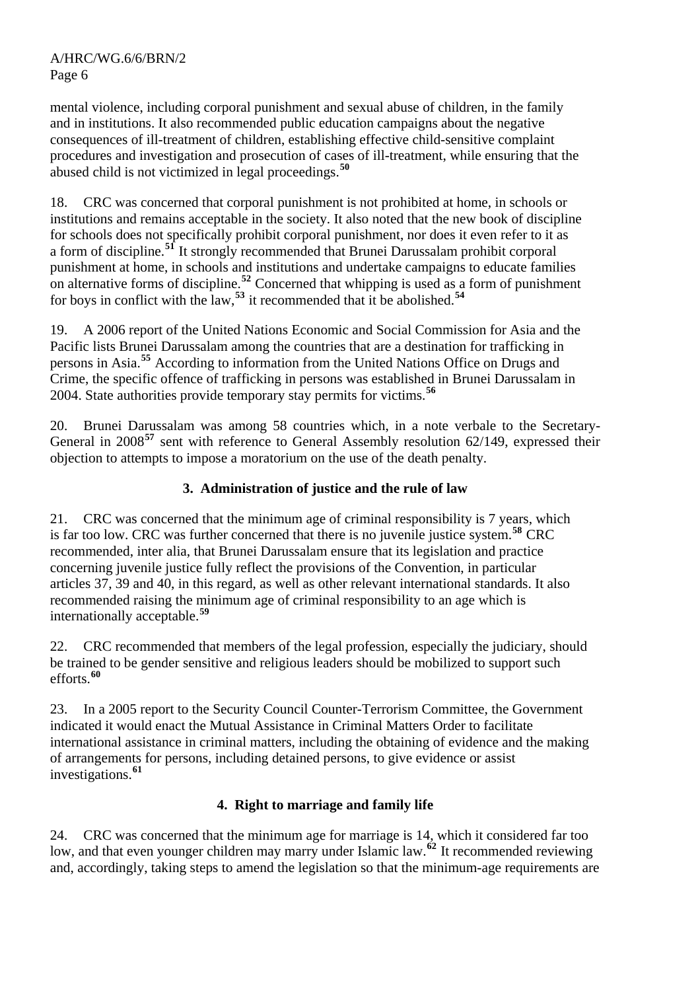mental violence, including corporal punishment and sexual abuse of children, in the family and in institutions. It also recommended public education campaigns about the negative consequences of ill-treatment of children, establishing effective child-sensitive complaint procedures and investigation and prosecution of cases of ill-treatment, while ensuring that the abused child is not victimized in legal proceedings.**[50](#page-11-1)**

18. CRC was concerned that corporal punishment is not prohibited at home, in schools or institutions and remains acceptable in the society. It also noted that the new book of discipline for schools does not specifically prohibit corporal punishment, nor does it even refer to it as a form of discipline.**[51](#page-11-1)** It strongly recommended that Brunei Darussalam prohibit corporal punishment at home, in schools and institutions and undertake campaigns to educate families on alternative forms of discipline.**[52](#page-11-1)** Concerned that whipping is used as a form of punishment for boys in conflict with the law,**[53](#page-11-1)** it recommended that it be abolished.**[54](#page-11-1)**

19. A 2006 report of the United Nations Economic and Social Commission for Asia and the Pacific lists Brunei Darussalam among the countries that are a destination for trafficking in persons in Asia.**[55](#page-11-1)** According to information from the United Nations Office on Drugs and Crime, the specific offence of trafficking in persons was established in Brunei Darussalam in 2004. State authorities provide temporary stay permits for victims.**[56](#page-11-1)**

20. Brunei Darussalam was among 58 countries which, in a note verbale to the Secretary-General in 2008<sup>[57](#page-11-1)</sup> sent with reference to General Assembly resolution 62/149, expressed their objection to attempts to impose a moratorium on the use of the death penalty.

# **3. Administration of justice and the rule of law**

21. CRC was concerned that the minimum age of criminal responsibility is 7 years, which is far too low. CRC was further concerned that there is no juvenile justice system.**[58](#page-11-1)** CRC recommended, inter alia, that Brunei Darussalam ensure that its legislation and practice concerning juvenile justice fully reflect the provisions of the Convention, in particular articles 37, 39 and 40, in this regard, as well as other relevant international standards. It also recommended raising the minimum age of criminal responsibility to an age which is internationally acceptable.**[59](#page-11-1)**

22. CRC recommended that members of the legal profession, especially the judiciary, should be trained to be gender sensitive and religious leaders should be mobilized to support such efforts.**[60](#page-11-1)**

23. In a 2005 report to the Security Council Counter-Terrorism Committee, the Government indicated it would enact the Mutual Assistance in Criminal Matters Order to facilitate international assistance in criminal matters, including the obtaining of evidence and the making of arrangements for persons, including detained persons, to give evidence or assist investigations.**[61](#page-11-1)**

#### **4. Right to marriage and family life**

24. CRC was concerned that the minimum age for marriage is 14, which it considered far too low, and that even younger children may marry under Islamic law.**[62](#page-11-1)** It recommended reviewing and, accordingly, taking steps to amend the legislation so that the minimum-age requirements are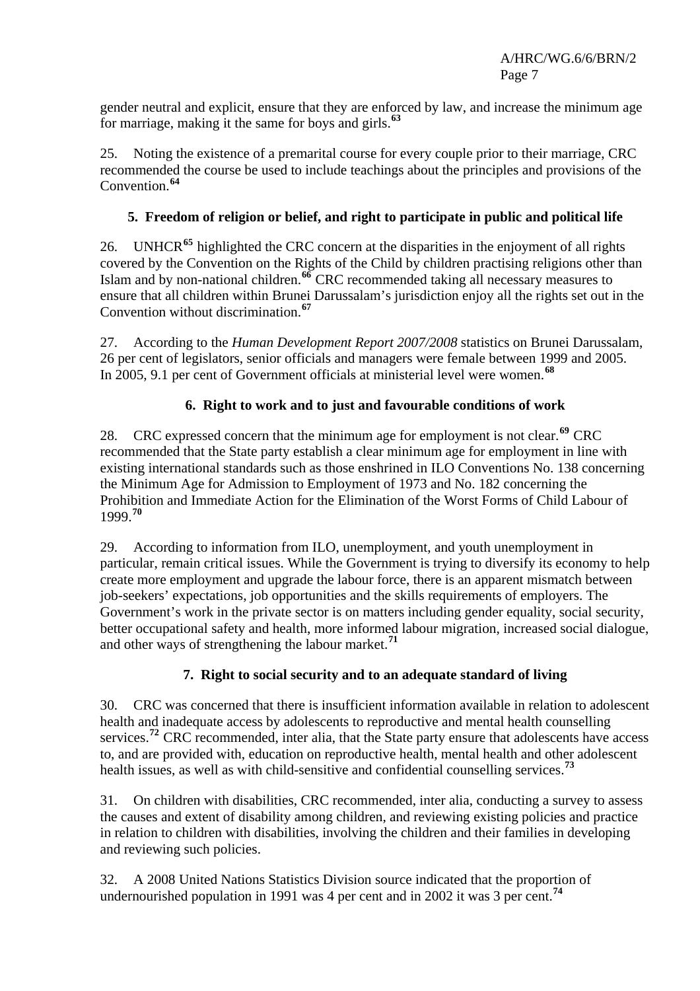gender neutral and explicit, ensure that they are enforced by law, and increase the minimum age for marriage, making it the same for boys and girls.**[63](#page-11-1)**

25. Noting the existence of a premarital course for every couple prior to their marriage, CRC recommended the course be used to include teachings about the principles and provisions of the Convention.**[64](#page-11-1)**

# **5. Freedom of religion or belief, and right to participate in public and political life**

26. UNHCR**[65](#page-11-1)** highlighted the CRC concern at the disparities in the enjoyment of all rights covered by the Convention on the Rights of the Child by children practising religions other than Islam and by non-national children.**[66](#page-11-1)** CRC recommended taking all necessary measures to ensure that all children within Brunei Darussalam's jurisdiction enjoy all the rights set out in the Convention without discrimination.**[67](#page-11-1)**

27. According to the *Human Development Report 2007/2008* statistics on Brunei Darussalam, 26 per cent of legislators, senior officials and managers were female between 1999 and 2005. In 2005, 9.1 per cent of Government officials at ministerial level were women.**[68](#page-11-1)**

# **6. Right to work and to just and favourable conditions of work**

28. CRC expressed concern that the minimum age for employment is not clear.**[69](#page-11-1)** CRC recommended that the State party establish a clear minimum age for employment in line with existing international standards such as those enshrined in ILO Conventions No. 138 concerning the Minimum Age for Admission to Employment of 1973 and No. 182 concerning the Prohibition and Immediate Action for the Elimination of the Worst Forms of Child Labour of 1999.**[70](#page-11-1)**

29. According to information from ILO, unemployment, and youth unemployment in particular, remain critical issues. While the Government is trying to diversify its economy to help create more employment and upgrade the labour force, there is an apparent mismatch between job-seekers' expectations, job opportunities and the skills requirements of employers. The Government's work in the private sector is on matters including gender equality, social security, better occupational safety and health, more informed labour migration, increased social dialogue, and other ways of strengthening the labour market.**[71](#page-11-1)**

# **7. Right to social security and to an adequate standard of living**

30. CRC was concerned that there is insufficient information available in relation to adolescent health and inadequate access by adolescents to reproductive and mental health counselling services.<sup>[72](#page-11-1)</sup> CRC recommended, inter alia, that the State party ensure that adolescents have access to, and are provided with, education on reproductive health, mental health and other adolescent health issues, as well as with child-sensitive and confidential counselling services.**[73](#page-11-1)**

31. On children with disabilities, CRC recommended, inter alia, conducting a survey to assess the causes and extent of disability among children, and reviewing existing policies and practice in relation to children with disabilities, involving the children and their families in developing and reviewing such policies.

32. A 2008 United Nations Statistics Division source indicated that the proportion of undernourished population in 1991 was 4 per cent and in 2002 it was 3 per cent.**[74](#page-11-1)**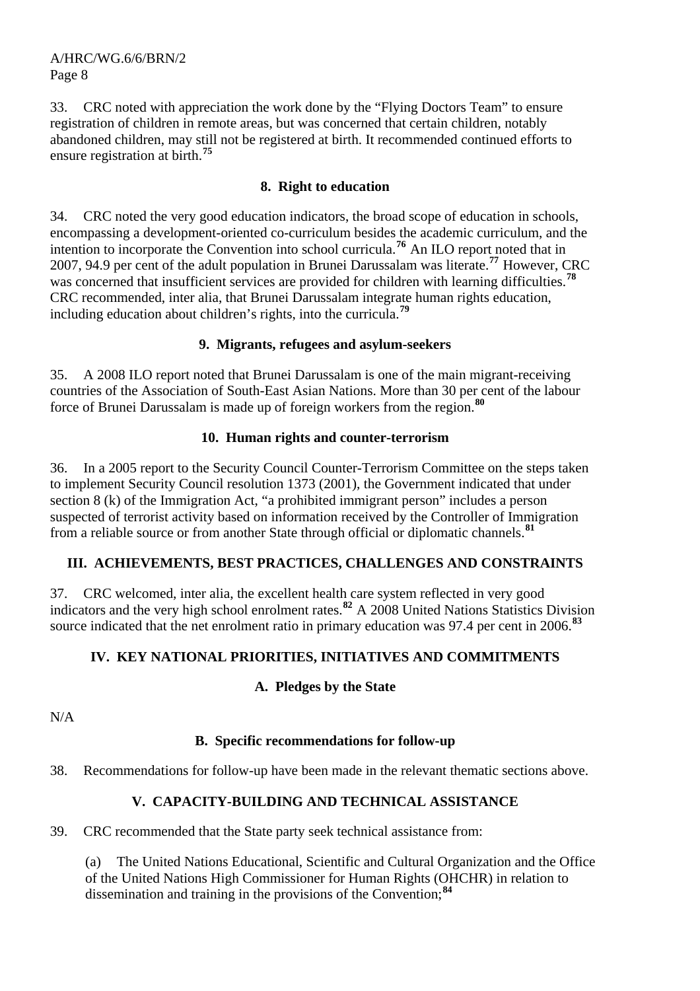33. CRC noted with appreciation the work done by the "Flying Doctors Team" to ensure registration of children in remote areas, but was concerned that certain children, notably abandoned children, may still not be registered at birth. It recommended continued efforts to ensure registration at birth.**[75](#page-11-1)**

### **8. Right to education**

34. CRC noted the very good education indicators, the broad scope of education in schools, encompassing a development-oriented co-curriculum besides the academic curriculum, and the intention to incorporate the Convention into school curricula.**[76](#page-11-1)** An ILO report noted that in 2007, 94.9 per cent of the adult population in Brunei Darussalam was literate.**[77](#page-11-1)** However, CRC was concerned that insufficient services are provided for children with learning difficulties.**[78](#page-11-1)** CRC recommended, inter alia, that Brunei Darussalam integrate human rights education, including education about children's rights, into the curricula.**[79](#page-11-1)**

#### **9. Migrants, refugees and asylum-seekers**

35. A 2008 ILO report noted that Brunei Darussalam is one of the main migrant-receiving countries of the Association of South-East Asian Nations. More than 30 per cent of the labour force of Brunei Darussalam is made up of foreign workers from the region.**[80](#page-11-1)**

#### **10. Human rights and counter-terrorism**

36. In a 2005 report to the Security Council Counter-Terrorism Committee on the steps taken to implement Security Council resolution 1373 (2001), the Government indicated that under section 8 (k) of the Immigration Act, "a prohibited immigrant person" includes a person suspected of terrorist activity based on information received by the Controller of Immigration from a reliable source or from another State through official or diplomatic channels.**[81](#page-11-1)**

#### **III. ACHIEVEMENTS, BEST PRACTICES, CHALLENGES AND CONSTRAINTS**

37. CRC welcomed, inter alia, the excellent health care system reflected in very good indicators and the very high school enrolment rates.**[82](#page-11-1)** A 2008 United Nations Statistics Division source indicated that the net enrolment ratio in primary education was 97.4 per cent in 2006.**[83](#page-11-1)**

#### **IV. KEY NATIONAL PRIORITIES, INITIATIVES AND COMMITMENTS**

#### **A. Pledges by the State**

 $N/A$ 

#### **B. Specific recommendations for follow-up**

38. Recommendations for follow-up have been made in the relevant thematic sections above.

#### **V. CAPACITY-BUILDING AND TECHNICAL ASSISTANCE**

39. CRC recommended that the State party seek technical assistance from:

The United Nations Educational, Scientific and Cultural Organization and the Office of the United Nations High Commissioner for Human Rights (OHCHR) in relation to dissemination and training in the provisions of the Convention;**[84](#page-11-1)**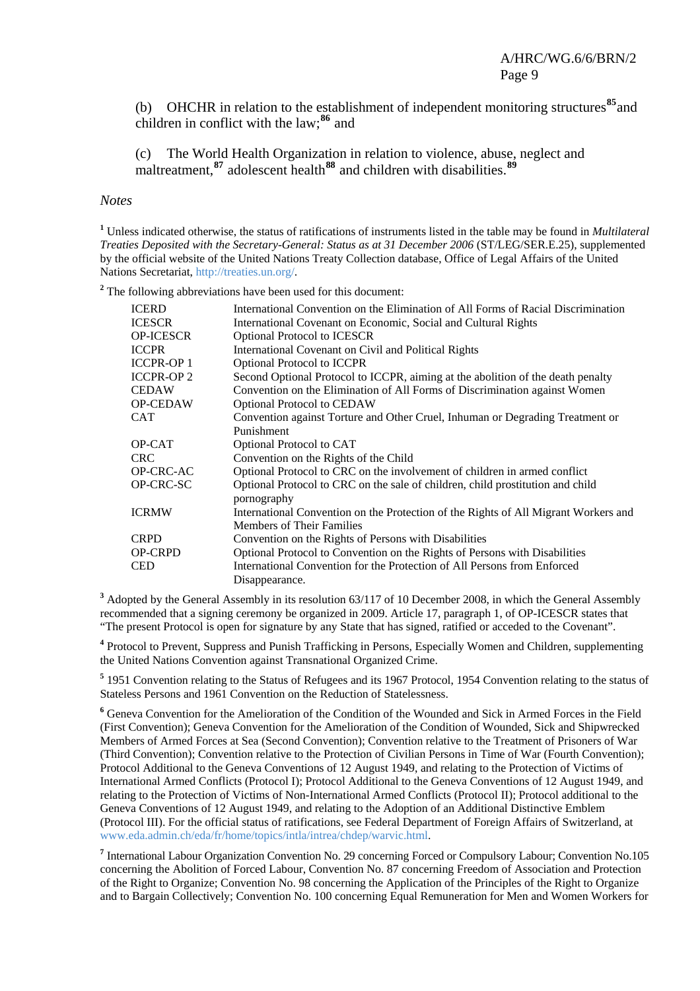(b) OHCHR in relation to the establishment of independent monitoring structures**[85](#page-11-1)**and children in conflict with the law;**[86](#page-11-2)** and

(c) The World Health Organization in relation to violence, abuse, neglect and maltreatment,**[87](#page-11-3)** adolescent health**[88](#page-11-4)** and children with disabilities.**[89](#page-11-5)**

#### *Notes*

**1** Unless indicated otherwise, the status of ratifications of instruments listed in the table may be found in *Multilateral Treaties Deposited with the Secretary-General: Status as at 31 December 2006* (ST/LEG/SER.E.25), supplemented by the official website of the United Nations Treaty Collection database, Office of Legal Affairs of the United Nations Secretariat,<http://treaties.un.org/>.

<sup>2</sup> The following abbreviations have been used for this document:

| <b>ICERD</b>     | International Convention on the Elimination of All Forms of Racial Discrimination   |
|------------------|-------------------------------------------------------------------------------------|
| <b>ICESCR</b>    | International Covenant on Economic, Social and Cultural Rights                      |
| <b>OP-ICESCR</b> | <b>Optional Protocol to ICESCR</b>                                                  |
| <b>ICCPR</b>     | International Covenant on Civil and Political Rights                                |
| <b>ICCPR-OP1</b> | <b>Optional Protocol to ICCPR</b>                                                   |
| <b>ICCPR-OP2</b> | Second Optional Protocol to ICCPR, aiming at the abolition of the death penalty     |
| <b>CEDAW</b>     | Convention on the Elimination of All Forms of Discrimination against Women          |
| <b>OP-CEDAW</b>  | <b>Optional Protocol to CEDAW</b>                                                   |
| <b>CAT</b>       | Convention against Torture and Other Cruel, Inhuman or Degrading Treatment or       |
|                  | Punishment                                                                          |
| OP-CAT           | Optional Protocol to CAT                                                            |
| CRC.             | Convention on the Rights of the Child                                               |
| OP-CRC-AC        | Optional Protocol to CRC on the involvement of children in armed conflict           |
| OP-CRC-SC        | Optional Protocol to CRC on the sale of children, child prostitution and child      |
|                  | pornography                                                                         |
| <b>ICRMW</b>     | International Convention on the Protection of the Rights of All Migrant Workers and |
|                  | <b>Members of Their Families</b>                                                    |
| <b>CRPD</b>      | Convention on the Rights of Persons with Disabilities                               |
| <b>OP-CRPD</b>   | Optional Protocol to Convention on the Rights of Persons with Disabilities          |
| <b>CED</b>       | International Convention for the Protection of All Persons from Enforced            |
|                  | Disappearance.                                                                      |

<sup>3</sup> Adopted by the General Assembly in its resolution 63/117 of 10 December 2008, in which the General Assembly recommended that a signing ceremony be organized in 2009. Article 17, paragraph 1, of OP-ICESCR states that "The present Protocol is open for signature by any State that has signed, ratified or acceded to the Covenant".

**4** Protocol to Prevent, Suppress and Punish Trafficking in Persons, Especially Women and Children, supplementing the United Nations Convention against Transnational Organized Crime.

<sup>5</sup> 1951 Convention relating to the Status of Refugees and its 1967 Protocol, 1954 Convention relating to the status of Stateless Persons and 1961 Convention on the Reduction of Statelessness.

<sup>6</sup> Geneva Convention for the Amelioration of the Condition of the Wounded and Sick in Armed Forces in the Field (First Convention); Geneva Convention for the Amelioration of the Condition of Wounded, Sick and Shipwrecked Members of Armed Forces at Sea (Second Convention); Convention relative to the Treatment of Prisoners of War (Third Convention); Convention relative to the Protection of Civilian Persons in Time of War (Fourth Convention); Protocol Additional to the Geneva Conventions of 12 August 1949, and relating to the Protection of Victims of International Armed Conflicts (Protocol I); Protocol Additional to the Geneva Conventions of 12 August 1949, and relating to the Protection of Victims of Non-International Armed Conflicts (Protocol II); Protocol additional to the Geneva Conventions of 12 August 1949, and relating to the Adoption of an Additional Distinctive Emblem (Protocol III). For the official status of ratifications, see Federal Department of Foreign Affairs of Switzerland, at [www.eda.admin.ch/eda/fr/home/topics/intla/intrea/chdep/warvic.html.](http://www.eda.admin.ch/eda/fr/home/topics/intla/intrea/chdep/warvic.html)

<sup>7</sup> International Labour Organization Convention No. 29 concerning Forced or Compulsory Labour; Convention No.105 concerning the Abolition of Forced Labour, Convention No. 87 concerning Freedom of Association and Protection of the Right to Organize; Convention No. 98 concerning the Application of the Principles of the Right to Organize and to Bargain Collectively; Convention No. 100 concerning Equal Remuneration for Men and Women Workers for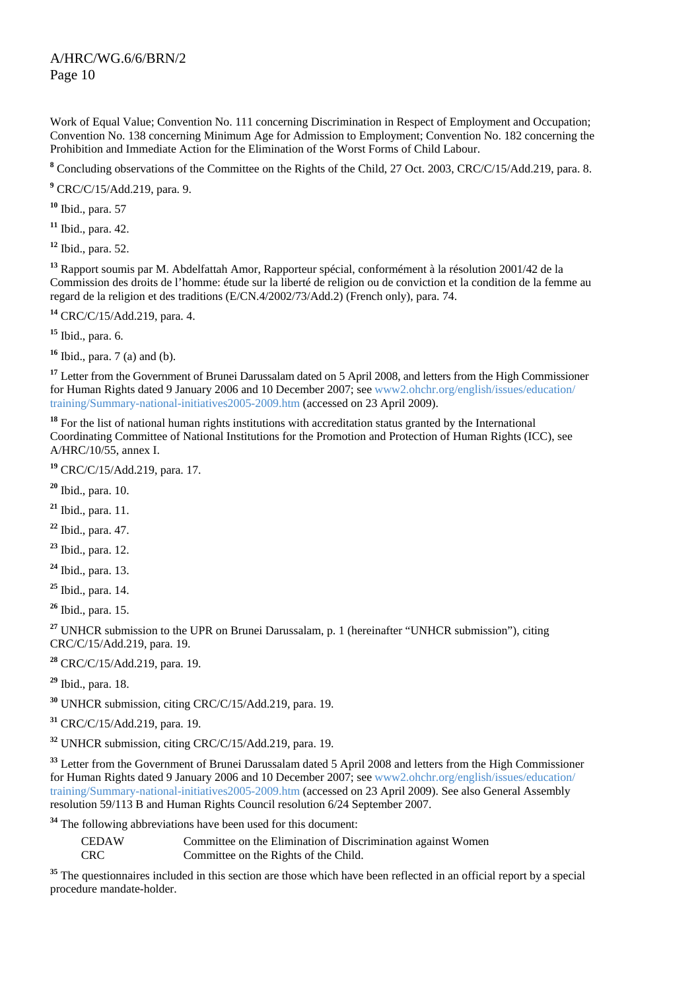Work of Equal Value; Convention No. 111 concerning Discrimination in Respect of Employment and Occupation; Convention No. 138 concerning Minimum Age for Admission to Employment; Convention No. 182 concerning the Prohibition and Immediate Action for the Elimination of the Worst Forms of Child Labour.

<sup>8</sup> Concluding observations of the Committee on the Rights of the Child, 27 Oct. 2003, CRC/C/15/Add.219, para. 8.

**9** CRC/C/15/Add.219, para. 9.

**<sup>10</sup>** Ibid., para. 57

**<sup>11</sup>** Ibid., para. 42.

**<sup>12</sup>** Ibid., para. 52.

**<sup>13</sup>** Rapport soumis par M. Abdelfattah Amor, Rapporteur spécial, conformément à la résolution 2001/42 de la Commission des droits de l'homme: étude sur la liberté de religion ou de conviction et la condition de la femme au regard de la religion et des traditions (E/CN.4/2002/73/Add.2) (French only), para. 74.

**<sup>14</sup>** CRC/C/15/Add.219, para. 4.

**<sup>15</sup>** Ibid., para. 6.

**<sup>16</sup>** Ibid., para. 7 (a) and (b).

<sup>17</sup> Letter from the Government of Brunei Darussalam dated on 5 April 2008, and letters from the High Commissioner for Human Rights dated 9 January 2006 and 10 December 2007; see www2.ohchr.org/english/issues/education/ training/Summary-national-initiatives2005-2009.htm (accessed on 23 April 2009).

<sup>18</sup> For the list of national human rights institutions with accreditation status granted by the International Coordinating Committee of National Institutions for the Promotion and Protection of Human Rights (ICC), see A/HRC/10/55, annex I.

**<sup>19</sup>** CRC/C/15/Add.219, para. 17.

**<sup>20</sup>** Ibid., para. 10.

**<sup>21</sup>** Ibid., para. 11.

**<sup>22</sup>** Ibid., para. 47.

**<sup>23</sup>** Ibid., para. 12.

**<sup>24</sup>** Ibid., para. 13.

**<sup>25</sup>** Ibid., para. 14.

**<sup>26</sup>** Ibid., para. 15.

<sup>27</sup> UNHCR submission to the UPR on Brunei Darussalam, p. 1 (hereinafter "UNHCR submission"), citing CRC/C/15/Add.219, para. 19.

**<sup>28</sup>** CRC/C/15/Add.219, para. 19.

**<sup>29</sup>** Ibid., para. 18.

**<sup>30</sup>** UNHCR submission, citing CRC/C/15/Add.219, para. 19.

**<sup>31</sup>** CRC/C/15/Add.219, para. 19.

**<sup>32</sup>** UNHCR submission, citing CRC/C/15/Add.219, para. 19.

<sup>33</sup> Letter from the Government of Brunei Darussalam dated 5 April 2008 and letters from the High Commissioner for Human Rights dated 9 January 2006 and 10 December 2007; see www2.ohchr.org/english/issues/education/ training/Summary-national-initiatives2005-2009.htm (accessed on 23 April 2009). See also General Assembly resolution 59/113 B and Human Rights Council resolution 6/24 September 2007.

**<sup>34</sup>** The following abbreviations have been used for this document:

| <b>CEDAW</b> | Committee on the Elimination of Discrimination against Women |
|--------------|--------------------------------------------------------------|
| <b>CRC</b>   | Committee on the Rights of the Child.                        |

<sup>35</sup> The questionnaires included in this section are those which have been reflected in an official report by a special procedure mandate-holder.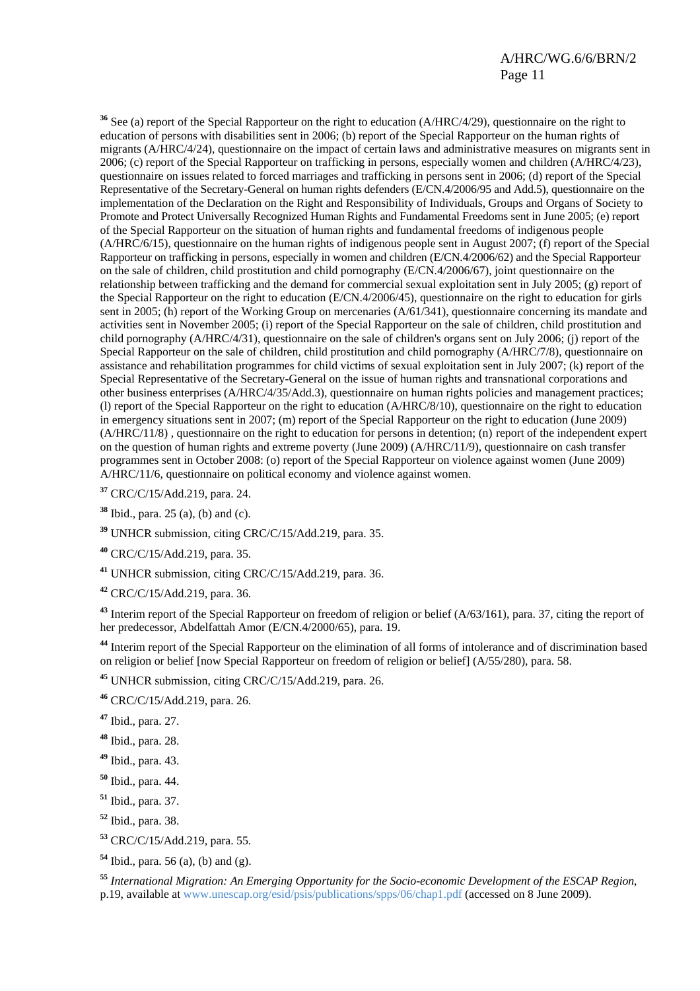**<sup>36</sup>** See (a) report of the Special Rapporteur on the right to education (A/HRC/4/29), questionnaire on the right to education of persons with disabilities sent in 2006; (b) report of the Special Rapporteur on the human rights of migrants (A/HRC/4/24), questionnaire on the impact of certain laws and administrative measures on migrants sent in 2006; (c) report of the Special Rapporteur on trafficking in persons, especially women and children (A/HRC/4/23), questionnaire on issues related to forced marriages and trafficking in persons sent in 2006; (d) report of the Special Representative of the Secretary-General on human rights defenders (E/CN.4/2006/95 and Add.5), questionnaire on the implementation of the Declaration on the Right and Responsibility of Individuals, Groups and Organs of Society to Promote and Protect Universally Recognized Human Rights and Fundamental Freedoms sent in June 2005; (e) report of the Special Rapporteur on the situation of human rights and fundamental freedoms of indigenous people (A/HRC/6/15), questionnaire on the human rights of indigenous people sent in August 2007; (f) report of the Special Rapporteur on trafficking in persons, especially in women and children (E/CN.4/2006/62) and the Special Rapporteur on the sale of children, child prostitution and child pornography (E/CN.4/2006/67), joint questionnaire on the relationship between trafficking and the demand for commercial sexual exploitation sent in July 2005; (g) report of the Special Rapporteur on the right to education (E/CN.4/2006/45), questionnaire on the right to education for girls sent in 2005; (h) report of the Working Group on mercenaries (A/61/341), questionnaire concerning its mandate and activities sent in November 2005; (i) report of the Special Rapporteur on the sale of children, child prostitution and child pornography (A/HRC/4/31), questionnaire on the sale of children's organs sent on July 2006; (j) report of the Special Rapporteur on the sale of children, child prostitution and child pornography (A/HRC/7/8), questionnaire on assistance and rehabilitation programmes for child victims of sexual exploitation sent in July 2007; (k) report of the Special Representative of the Secretary-General on the issue of human rights and transnational corporations and other business enterprises (A/HRC/4/35/Add.3), questionnaire on human rights policies and management practices; (l) report of the Special Rapporteur on the right to education (A/HRC/8/10), questionnaire on the right to education in emergency situations sent in 2007; (m) report of the Special Rapporteur on the right to education (June 2009) (A/HRC/11/8) , questionnaire on the right to education for persons in detention; (n) report of the independent expert on the question of human rights and extreme poverty (June 2009) (A/HRC/11/9), questionnaire on cash transfer programmes sent in October 2008: (o) report of the Special Rapporteur on violence against women (June 2009) A/HRC/11/6, questionnaire on political economy and violence against women.

**<sup>37</sup>** CRC/C/15/Add.219, para. 24.

**<sup>38</sup>** Ibid., para. 25 (a), (b) and (c).

**<sup>39</sup>** UNHCR submission, citing CRC/C/15/Add.219, para. 35.

**<sup>40</sup>** CRC/C/15/Add.219, para. 35.

**<sup>41</sup>** UNHCR submission, citing CRC/C/15/Add.219, para. 36.

**<sup>42</sup>** CRC/C/15/Add.219, para. 36.

**<sup>43</sup>** Interim report of the Special Rapporteur on freedom of religion or belief (A/63/161), para. 37, citing the report of her predecessor, Abdelfattah Amor (E/CN.4/2000/65), para. 19.

**<sup>44</sup>** Interim report of the Special Rapporteur on the elimination of all forms of intolerance and of discrimination based on religion or belief [now Special Rapporteur on freedom of religion or belief] (A/55/280), para. 58.

**<sup>45</sup>** UNHCR submission, citing CRC/C/15/Add.219, para. 26.

**<sup>46</sup>** CRC/C/15/Add.219, para. 26.

**<sup>47</sup>** Ibid., para. 27.

**<sup>48</sup>** Ibid., para. 28.

**<sup>49</sup>** Ibid., para. 43.

**<sup>50</sup>** Ibid., para. 44.

**<sup>51</sup>** Ibid., para. 37.

**<sup>52</sup>** Ibid., para. 38.

**<sup>53</sup>** CRC/C/15/Add.219, para. 55.

**<sup>54</sup>** Ibid., para. 56 (a), (b) and (g).

**<sup>55</sup>** *[International Migration: An Emerging Opportunity for the Socio-economic Development of the ESCAP Region](http://www.unescap.org/esid/psis/publications/spps/06/toc.asp)*, p.19, available at www.unescap.org/esid/psis/publications/spps/06/chap1.pdf (accessed on 8 June 2009).